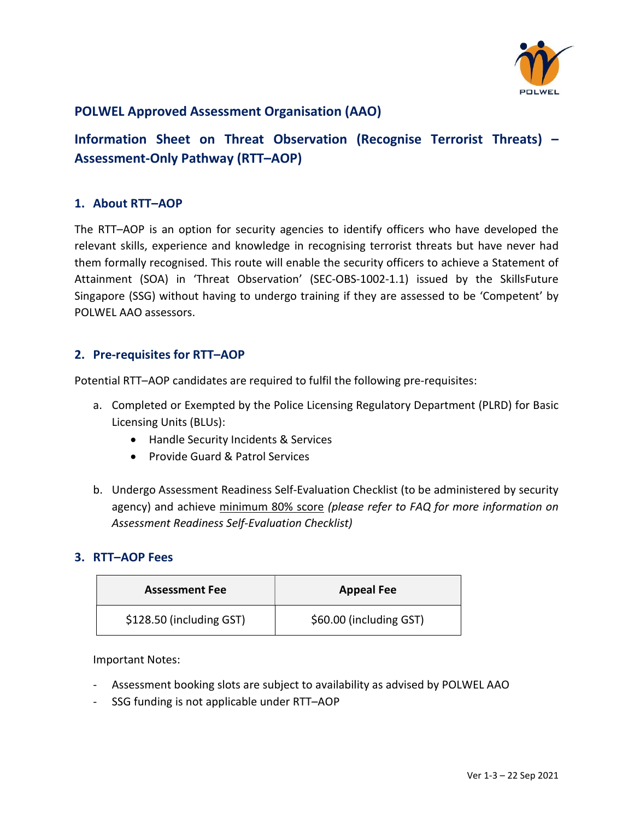

# POLWEL Approved Assessment Organisation (AAO)

Information Sheet on Threat Observation (Recognise Terrorist Threats) – Assessment-Only Pathway (RTT–AOP)

### 1. About RTT–AOP

The RTT–AOP is an option for security agencies to identify officers who have developed the relevant skills, experience and knowledge in recognising terrorist threats but have never had them formally recognised. This route will enable the security officers to achieve a Statement of Attainment (SOA) in 'Threat Observation' (SEC-OBS-1002-1.1) issued by the SkillsFuture Singapore (SSG) without having to undergo training if they are assessed to be 'Competent' by POLWEL AAO assessors.

### 2. Pre-requisites for RTT–AOP

Potential RTT–AOP candidates are required to fulfil the following pre-requisites:

- a. Completed or Exempted by the Police Licensing Regulatory Department (PLRD) for Basic Licensing Units (BLUs):
	- Handle Security Incidents & Services
	- Provide Guard & Patrol Services
- b. Undergo Assessment Readiness Self-Evaluation Checklist (to be administered by security agency) and achieve minimum 80% score (please refer to FAQ for more information on Assessment Readiness Self-Evaluation Checklist)

### 3. RTT–AOP Fees

| <b>Assessment Fee</b>    | <b>Appeal Fee</b>       |
|--------------------------|-------------------------|
| \$128.50 (including GST) | \$60.00 (including GST) |

Important Notes:

- Assessment booking slots are subject to availability as advised by POLWEL AAO
- SSG funding is not applicable under RTT–AOP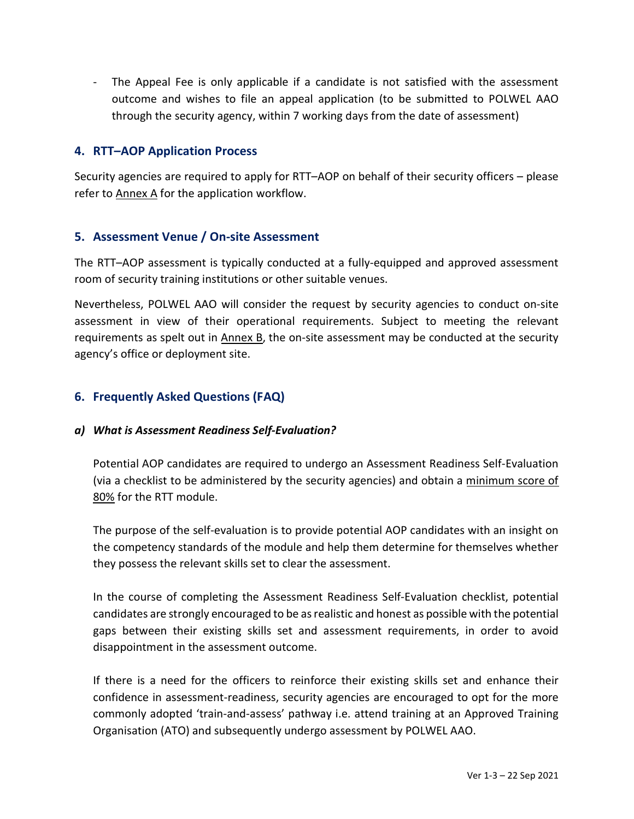- The Appeal Fee is only applicable if a candidate is not satisfied with the assessment outcome and wishes to file an appeal application (to be submitted to POLWEL AAO through the security agency, within 7 working days from the date of assessment)

## 4. RTT–AOP Application Process

Security agencies are required to apply for RTT–AOP on behalf of their security officers – please refer to Annex A for the application workflow.

## 5. Assessment Venue / On-site Assessment

The RTT–AOP assessment is typically conducted at a fully-equipped and approved assessment room of security training institutions or other suitable venues.

Nevertheless, POLWEL AAO will consider the request by security agencies to conduct on-site assessment in view of their operational requirements. Subject to meeting the relevant requirements as spelt out in Annex  $\underline{B}$ , the on-site assessment may be conducted at the security agency's office or deployment site.

# 6. Frequently Asked Questions (FAQ)

### a) What is Assessment Readiness Self-Evaluation?

Potential AOP candidates are required to undergo an Assessment Readiness Self-Evaluation (via a checklist to be administered by the security agencies) and obtain a minimum score of 80% for the RTT module.

The purpose of the self-evaluation is to provide potential AOP candidates with an insight on the competency standards of the module and help them determine for themselves whether they possess the relevant skills set to clear the assessment.

In the course of completing the Assessment Readiness Self-Evaluation checklist, potential candidates are strongly encouraged to be as realistic and honest as possible with the potential gaps between their existing skills set and assessment requirements, in order to avoid disappointment in the assessment outcome.

If there is a need for the officers to reinforce their existing skills set and enhance their confidence in assessment-readiness, security agencies are encouraged to opt for the more commonly adopted 'train-and-assess' pathway i.e. attend training at an Approved Training Organisation (ATO) and subsequently undergo assessment by POLWEL AAO.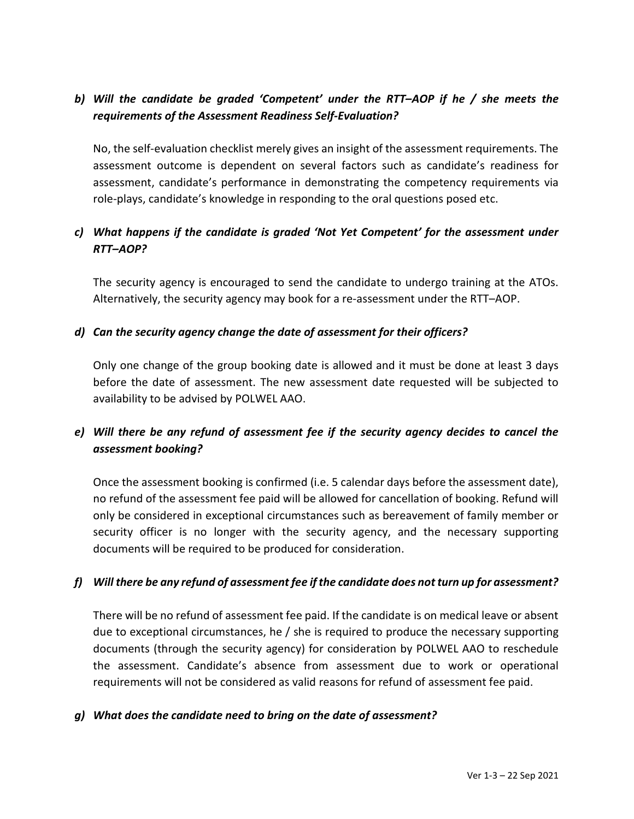# b) Will the candidate be graded 'Competent' under the RTT–AOP if he / she meets the requirements of the Assessment Readiness Self-Evaluation?

No, the self-evaluation checklist merely gives an insight of the assessment requirements. The assessment outcome is dependent on several factors such as candidate's readiness for assessment, candidate's performance in demonstrating the competency requirements via role-plays, candidate's knowledge in responding to the oral questions posed etc.

# c) What happens if the candidate is graded 'Not Yet Competent' for the assessment under RTT–AOP?

The security agency is encouraged to send the candidate to undergo training at the ATOs. Alternatively, the security agency may book for a re-assessment under the RTT–AOP.

### d) Can the security agency change the date of assessment for their officers?

Only one change of the group booking date is allowed and it must be done at least 3 days before the date of assessment. The new assessment date requested will be subjected to availability to be advised by POLWEL AAO.

# e) Will there be any refund of assessment fee if the security agency decides to cancel the assessment booking?

Once the assessment booking is confirmed (i.e. 5 calendar days before the assessment date), no refund of the assessment fee paid will be allowed for cancellation of booking. Refund will only be considered in exceptional circumstances such as bereavement of family member or security officer is no longer with the security agency, and the necessary supporting documents will be required to be produced for consideration.

## f) Will there be any refund of assessment fee if the candidate does not turn up for assessment?

There will be no refund of assessment fee paid. If the candidate is on medical leave or absent due to exceptional circumstances, he / she is required to produce the necessary supporting documents (through the security agency) for consideration by POLWEL AAO to reschedule the assessment. Candidate's absence from assessment due to work or operational requirements will not be considered as valid reasons for refund of assessment fee paid.

### g) What does the candidate need to bring on the date of assessment?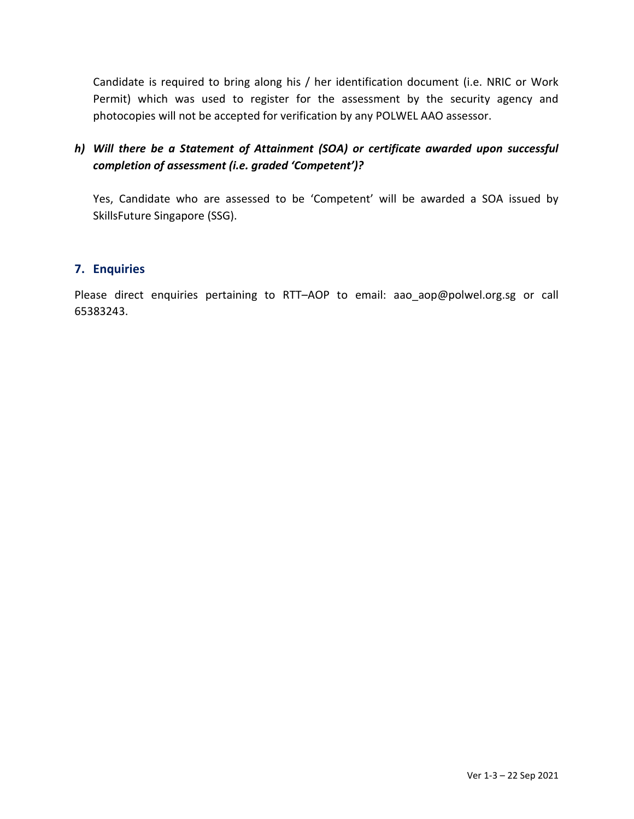Candidate is required to bring along his / her identification document (i.e. NRIC or Work Permit) which was used to register for the assessment by the security agency and photocopies will not be accepted for verification by any POLWEL AAO assessor.

# h) Will there be a Statement of Attainment (SOA) or certificate awarded upon successful completion of assessment (i.e. graded 'Competent')?

Yes, Candidate who are assessed to be 'Competent' will be awarded a SOA issued by SkillsFuture Singapore (SSG).

### 7. Enquiries

Please direct enquiries pertaining to RTT-AOP to email: aao\_aop@polwel.org.sg or call 65383243.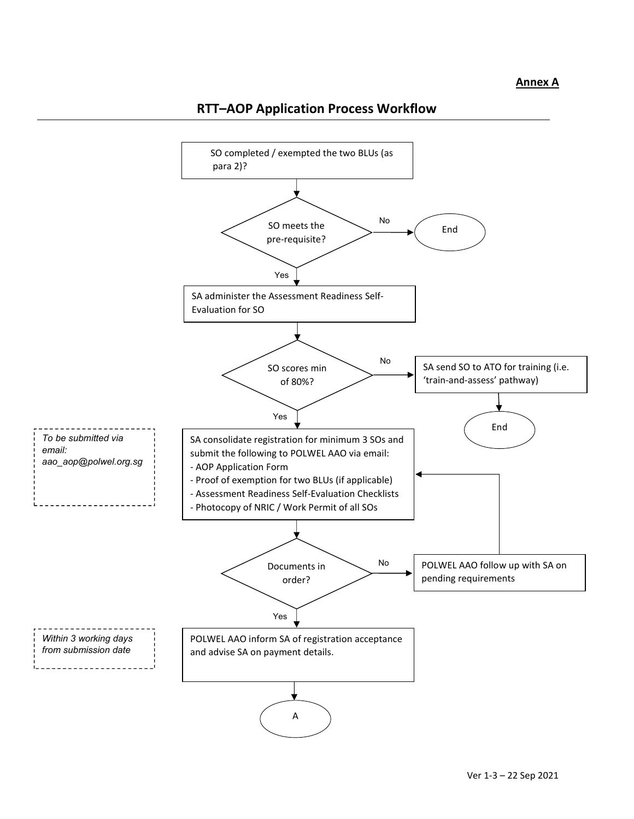

# RTT–AOP Application Process Workflow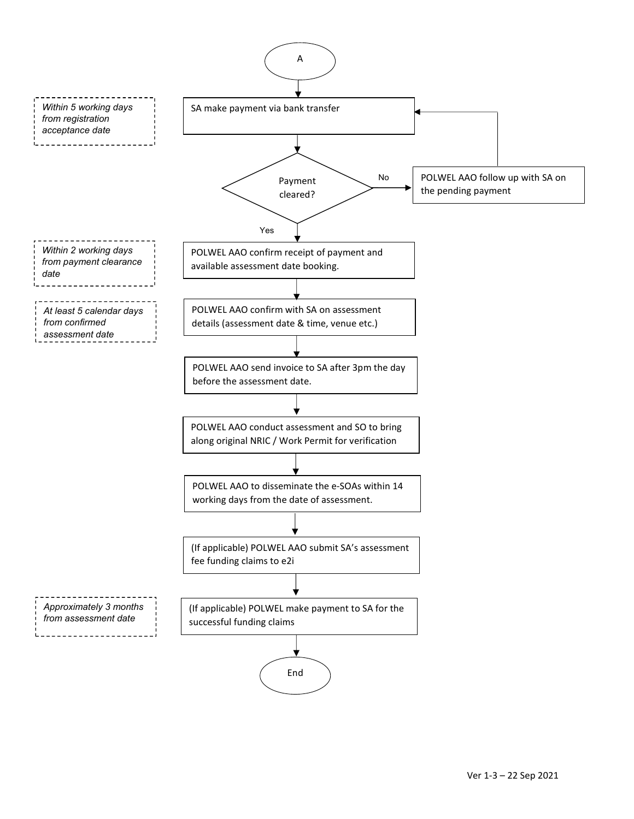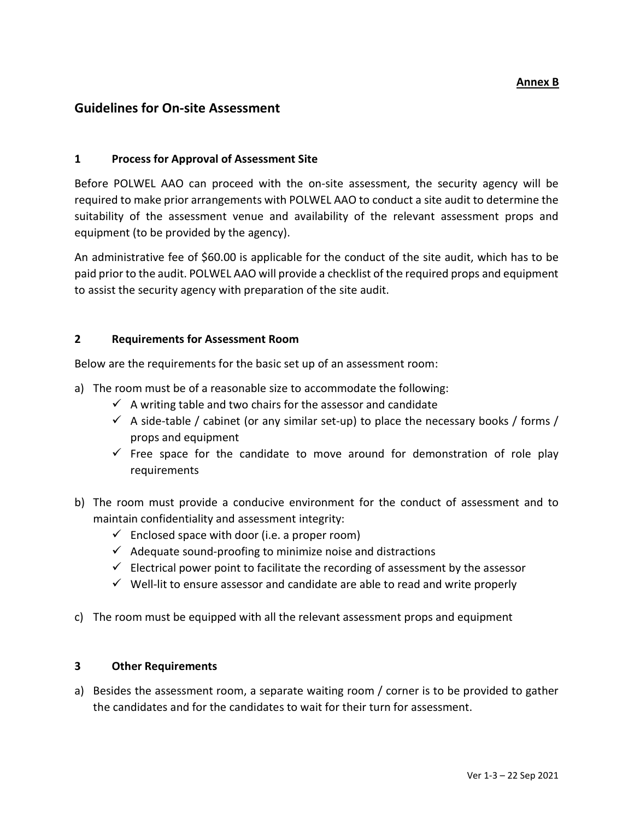#### Annex B

### Guidelines for On-site Assessment

#### 1 Process for Approval of Assessment Site

Before POLWEL AAO can proceed with the on-site assessment, the security agency will be required to make prior arrangements with POLWEL AAO to conduct a site audit to determine the suitability of the assessment venue and availability of the relevant assessment props and equipment (to be provided by the agency).

An administrative fee of \$60.00 is applicable for the conduct of the site audit, which has to be paid prior to the audit. POLWEL AAO will provide a checklist of the required props and equipment to assist the security agency with preparation of the site audit.

#### 2 Requirements for Assessment Room

Below are the requirements for the basic set up of an assessment room:

- a) The room must be of a reasonable size to accommodate the following:
	- $\checkmark$  A writing table and two chairs for the assessor and candidate
	- $\checkmark$  A side-table / cabinet (or any similar set-up) to place the necessary books / forms / props and equipment
	- $\checkmark$  Free space for the candidate to move around for demonstration of role play requirements
- b) The room must provide a conducive environment for the conduct of assessment and to maintain confidentiality and assessment integrity:
	- $\checkmark$  Enclosed space with door (i.e. a proper room)
	- $\checkmark$  Adequate sound-proofing to minimize noise and distractions
	- $\checkmark$  Electrical power point to facilitate the recording of assessment by the assessor
	- $\checkmark$  Well-lit to ensure assessor and candidate are able to read and write properly
- c) The room must be equipped with all the relevant assessment props and equipment

#### 3 Other Requirements

a) Besides the assessment room, a separate waiting room / corner is to be provided to gather the candidates and for the candidates to wait for their turn for assessment.